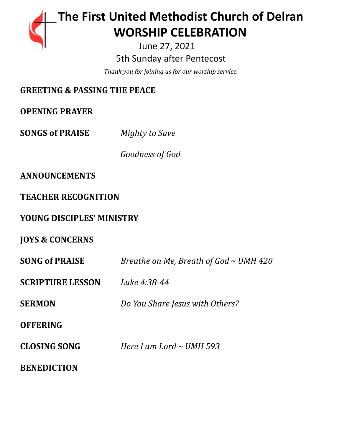# **The First United Methodist Church of Delran …… … WORSHIP CELEBRATION**

June 27, 2021 5th Sunday after Pentecost

*Thank you for joining us for our worship service.*

## **GREETING & PASSING THE PEACE**

**OPENING PRAYER**

**SONGS of PRAISE** *Mighty to Save*

*Goodness of God*

### **ANNOUNCEMENTS**

**TEACHER RECOGNITION**

### **YOUNG DISCIPLES' MINISTRY**

**JOYS & CONCERNS**

| <b>SONG of PRAISE</b>   | Breathe on Me, Breath of God $\sim$ UMH 420 |
|-------------------------|---------------------------------------------|
| <b>SCRIPTURE LESSON</b> | Luke 4:38-44                                |
| <b>SERMON</b>           | Do You Share Jesus with Others?             |
| <b>OFFERING</b>         |                                             |
| <b>CLOSING SONG</b>     | Here I am Lord $\sim$ UMH 593               |
| <b>BENEDICTION</b>      |                                             |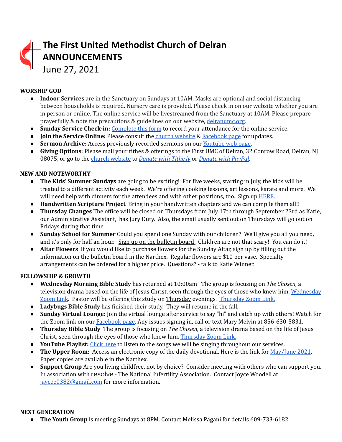# **The First United Methodist Church of Delran ANNOUNCEMENTS** June 27, 2021

#### **WORSHIP GOD**

- **Indoor Services** are in the Sanctuary on Sundays at 10AM. Masks are optional and social distancing between households is required. Nursery care is provided. Please check in on our website whether you are in person or online. The online service will be livestreamed from the Sanctuary at 10AM. Please prepare prayerfully & note the precautions & guidelines on our website, [delranumc.org](http://www.delranumc.org).
- **Sunday Service Check-in:** [Complete](https://forms.gle/2MxBkhaYGvKQZRcc9) this form to record your attendance for the online service.
- **● Join the Service Online:** Please consult the church [website](http://www.delranumc.org) & [Facebook](https://www.facebook.com/FirstUnitedMethodistChurch.Delran) page for updates.
- **Sermon Archive:** Access previously recorded sermons on our [Youtube](https://www.youtube.com/results?search_query=delran+first+umc+channel) web page.
- **Giving Options**: Please mail your tithes & offerings to the First UMC of Delran, 32 Conrow Road, Delran, NJ 08075, or go to the church [website](http://www.delranumc.org) to *Donate with [Tithe.ly](https://tithe.ly/give?c=1379451)* or *[Donate](https://www.paypal.com/donate/?token=JgyQQyCzJSzuWb-4M_kVuUa8ORCkKdbhPebT-DwrySzFpiafxE6LsZCirp50sAsR0jT_60&country.x=US&locale.x=) with PayPal*.

#### **NEW AND NOTEWORTHY**

- **● The Kids' Summer Sundays** are going to be exciting! For five weeks, starting in July, the kids will be treated to a different activity each week. We're offering cooking lessons, art lessons, karate and more. We will need help with dinners for the attendees and with other positions, too. Sign up [HERE](https://www.signupgenius.com/go/5080f4fa9ac2ca5f58-vbssupports).
- **Handwritten Scripture Project** Bring in your handwritten chapters and we can compile them all!!
- **Thursday Changes** The office will be closed on Thursdays from July 17th through September 23rd as Katie, our Administrative Assistant, has Jury Duty. Also, the email usually sent out on Thursdays will go out on Fridays during that time.
- **● Sunday School for Summer** Could you spend one Sunday with our children? We'll give you all you need, and it's only for half an hour. Sign up on the bulletin board. Children are not that scary! You can do it!
- **● Altar Flowers** If you would like to purchase flowers for the Sunday Altar, sign up by filling out the information on the bulletin board in the Narthex. Regular flowers are \$10 per vase. Specialty arrangements can be ordered for a higher price. Questions? - talk to Katie Winner.

#### **FELLOWSHIP & GROWTH**

- **● Wednesday Morning Bible Study** has returned at 10:00am The group is focusing on *The Chosen,* a television drama based on the life of Jesus Christ, seen through the eyes of those who knew him. [Wednesday](https://us02web.zoom.us/j/83299668925?pwd=R09VZzEvellRdnpsemtaQzJocW1nUT09) [Zoom](https://us02web.zoom.us/j/83299668925?pwd=R09VZzEvellRdnpsemtaQzJocW1nUT09) Link. Pastor will be offering this study on Thursday evenings. [Thursday](https://us02web.zoom.us/j/86724526082?pwd=Yk1aT0N6ajRzcUF6KzdhT05VU0k3Zz09) Zoom Link.
- **● Ladybugs Bible Study** has finished their study. They will resume in the fall.
- **● Sunday Virtual Lounge:** Join the virtual lounge after service to say "hi" and catch up with others! Watch for the Zoom link on our [Facebook](https://www.facebook.com/FirstUnitedMethodistChurch.Delran) page. Any issues signing in, call or text Mary Melvin at 856-630-5831.
- **Thursday Bible Study** The group is focusing on *The Chosen,* a television drama based on the life of Jesus Christ, seen through the eyes of those who knew him. [Thursday](https://us02web.zoom.us/j/86724526082?pwd=Yk1aT0N6ajRzcUF6KzdhT05VU0k3Zz09) Zoom Link.
- **● YouTube Playlist:** [Click](https://www.youtube.com/watch?v=lJJQjFnX0nk&list=PL76HlEzH6SKYV7jHyH7qBV7M1G3TK8-OK) here to listen to the songs we will be singing throughout our services.
- **The Upper Room:** Access an electronic copy of the daily devotional. Here is the link for [May/June](https://destination-site-production.s3.amazonaws.com/covers/URE_May-June2021.pdf) 2021. Paper copies are available in the Narthex.
- **Support Group** Are you living childfree, not by choice? Consider meeting with others who can support you. In association with resolve - The National Infertility Association. Contact Joyce Woodell at [jaycee0382@gmail.com](mailto:jaycee0382@gmail.com) for more information.

#### **NEXT GENERATION**

**● The Youth Group** is meeting Sundays at 8PM. Contact Melissa Pagani for details 609-733-6182.